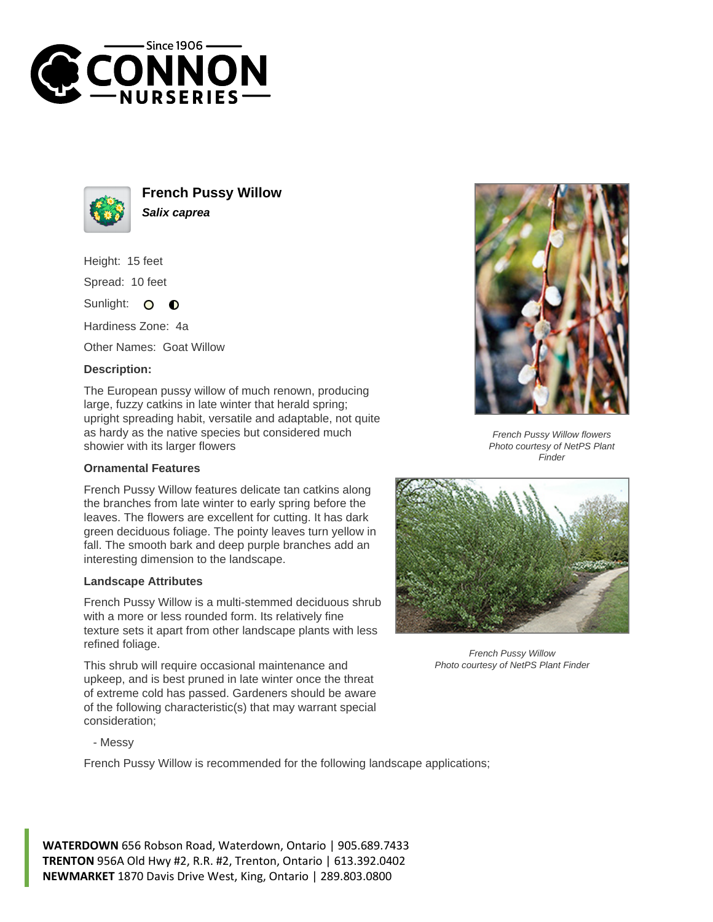



**French Pussy Willow Salix caprea**

Height: 15 feet

Spread: 10 feet

Sunlight: 0  $\bullet$ 

Hardiness Zone: 4a

Other Names: Goat Willow

## **Description:**

The European pussy willow of much renown, producing large, fuzzy catkins in late winter that herald spring; upright spreading habit, versatile and adaptable, not quite as hardy as the native species but considered much showier with its larger flowers

## **Ornamental Features**

French Pussy Willow features delicate tan catkins along the branches from late winter to early spring before the leaves. The flowers are excellent for cutting. It has dark green deciduous foliage. The pointy leaves turn yellow in fall. The smooth bark and deep purple branches add an interesting dimension to the landscape.

## **Landscape Attributes**

French Pussy Willow is a multi-stemmed deciduous shrub with a more or less rounded form. Its relatively fine texture sets it apart from other landscape plants with less refined foliage.

This shrub will require occasional maintenance and upkeep, and is best pruned in late winter once the threat of extreme cold has passed. Gardeners should be aware of the following characteristic(s) that may warrant special consideration;



French Pussy Willow flowers Photo courtesy of NetPS Plant Finder



French Pussy Willow Photo courtesy of NetPS Plant Finder

- Messy

French Pussy Willow is recommended for the following landscape applications;

**WATERDOWN** 656 Robson Road, Waterdown, Ontario | 905.689.7433 **TRENTON** 956A Old Hwy #2, R.R. #2, Trenton, Ontario | 613.392.0402 **NEWMARKET** 1870 Davis Drive West, King, Ontario | 289.803.0800